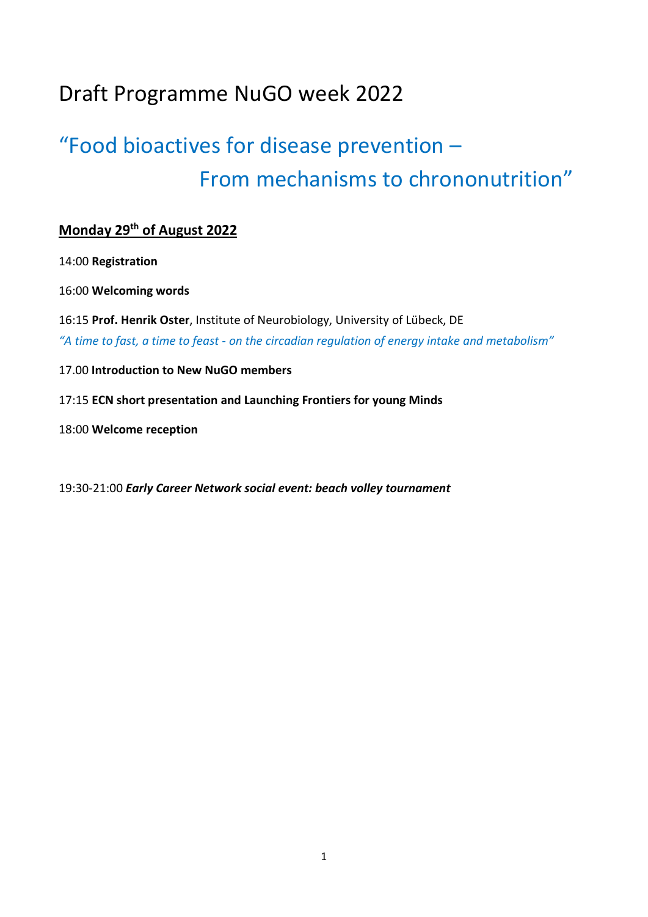## Draft Programme NuGO week 2022

# "Food bioactives for disease prevention – From mechanisms to chrononutrition"

### **Monday 29th of August 2022**

14:00 **Registration**

16:00 **Welcoming words**

16:15 **Prof. Henrik Oster**, Institute of Neurobiology, University of Lübeck, DE *"A time to fast, a time to feast - on the circadian regulation of energy intake and metabolism"*

17.00 **Introduction to New NuGO members**

17:15 **ECN short presentation and Launching Frontiers for young Minds**

18:00 **Welcome reception**

19:30-21:00 *Early Career Network social event: beach volley tournament*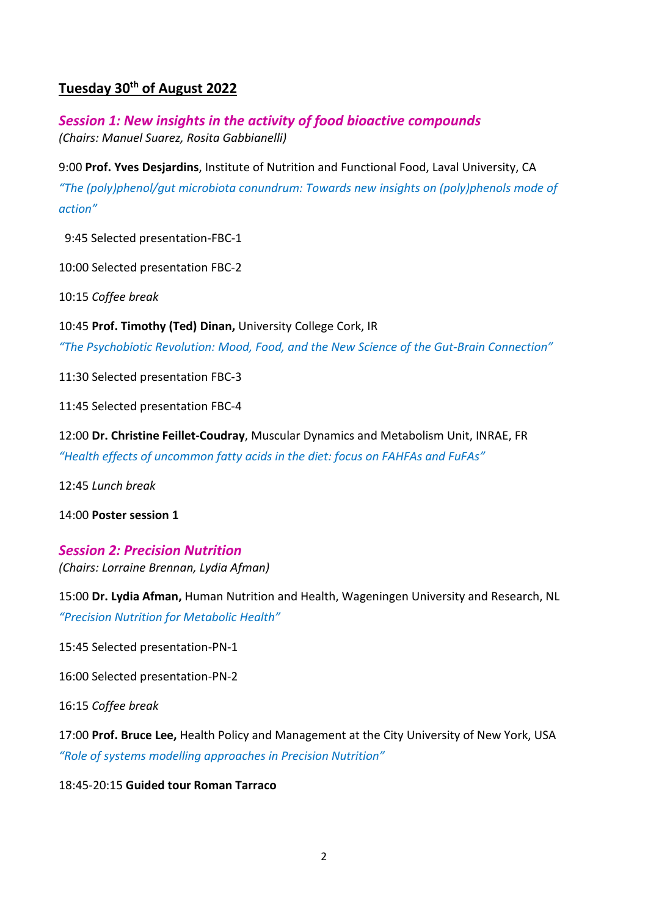#### **Tuesday 30th of August 2022**

*Session 1: New insights in the activity of food bioactive compounds (Chairs: Manuel Suarez, Rosita Gabbianelli)*

9:00 **Prof. Yves Desjardins**, Institute of Nutrition and Functional Food, Laval University, CA *"The (poly)phenol/gut microbiota conundrum: Towards new insights on (poly)phenols mode of action"*

9:45 Selected presentation-FBC-1

10:00 Selected presentation FBC-2

10:15 *Coffee break*

10:45 **Prof. Timothy (Ted) Dinan,** University College Cork, IR *"The Psychobiotic Revolution: Mood, Food, and the New Science of the Gut-Brain Connection"*

11:30 Selected presentation FBC-3

11:45 Selected presentation FBC-4

12:00 **Dr. Christine Feillet-Coudray**, Muscular Dynamics and Metabolism Unit, INRAE, FR *"Health effects of uncommon fatty acids in the diet: focus on FAHFAs and FuFAs"*

12:45 *Lunch break*

14:00 **Poster session 1**

*Session 2: Precision Nutrition (Chairs: Lorraine Brennan, Lydia Afman)* 

15:00 **Dr. Lydia Afman,** Human Nutrition and Health, Wageningen University and Research, NL *"Precision Nutrition for Metabolic Health"*

15:45 Selected presentation-PN-1

16:00 Selected presentation-PN-2

16:15 *Coffee break*

17:00 **Prof. Bruce Lee,** Health Policy and Management at the City University of New York, USA *"Role of systems modelling approaches in Precision Nutrition"*

18:45-20:15 **Guided tour Roman Tarraco**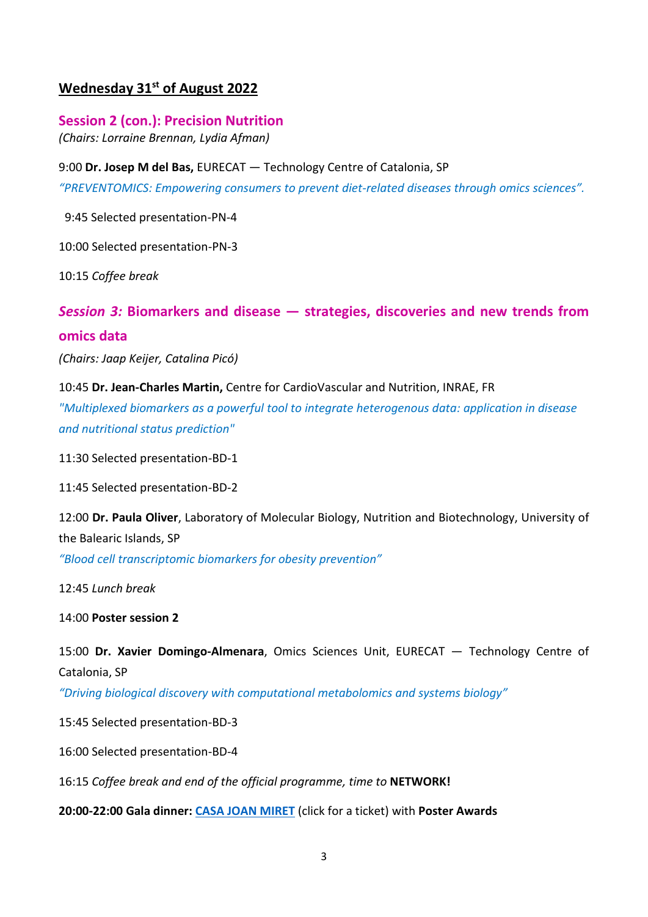#### **Wednesday 31st of August 2022**

**Session 2 (con.): Precision Nutrition** *(Chairs: Lorraine Brennan, Lydia Afman)* 

9:00 **Dr. Josep M del Bas,** EURECAT — Technology Centre of Catalonia, SP *"PREVENTOMICS: Empowering consumers to prevent diet-related diseases through omics sciences".*

9:45 Selected presentation-PN-4

10:00 Selected presentation-PN-3

10:15 *Coffee break*

#### *Session 3:* **Biomarkers and disease — strategies, discoveries and new trends from omics data**

*(Chairs: Jaap Keijer, Catalina Picó)*

10:45 **Dr. Jean-Charles Martin,** Centre for CardioVascular and Nutrition, INRAE, FR *"Multiplexed biomarkers as a powerful tool to integrate heterogenous data: application in disease and nutritional status prediction"*

11:30 Selected presentation-BD-1

11:45 Selected presentation-BD-2

12:00 **Dr. Paula Oliver**, Laboratory of Molecular Biology, Nutrition and Biotechnology, University of the Balearic Islands, SP

*"Blood cell transcriptomic biomarkers for obesity prevention"*

12:45 *Lunch break*

14:00 **Poster session 2**

15:00 **Dr. Xavier Domingo-Almenara**, Omics Sciences Unit, EURECAT — Technology Centre of Catalonia, SP

*"Driving biological discovery with computational metabolomics and systems biology"*

15:45 Selected presentation-BD-3

16:00 Selected presentation-BD-4

16:15 *Coffee break and end of the official programme, time to* **NETWORK!**

**20:00-22:00 Gala dinner: [CASA JOAN MIRET](https://entradium.com/en/events/nugo-week-conference-dinner)** (click for a ticket) with **Poster Awards**